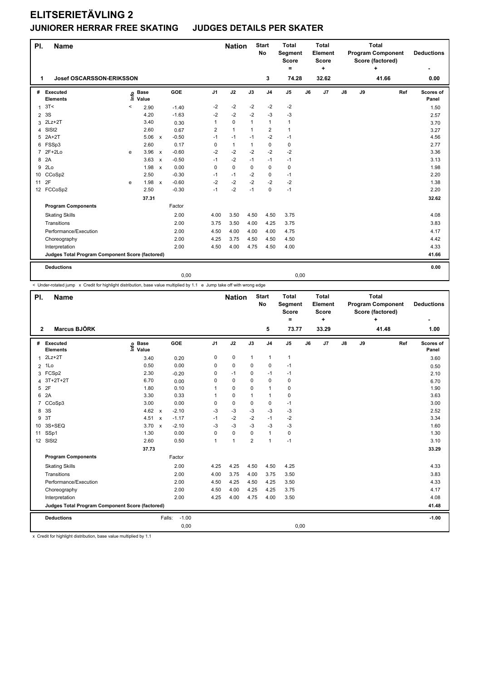### **ELITSERIETÄVLING 2**

#### **JUNIORER HERRAR FREE SKATING JUDGES DETAILS PER SKATER**

| PI.<br><b>Name</b> |                                                 |              |                             |              |                |                | <b>Nation</b> |                | <b>Start</b><br><b>No</b> | <b>Total</b><br>Segment<br><b>Score</b> |       | <b>Total</b><br>Element<br><b>Score</b> | <b>Total</b><br><b>Program Component</b><br>Score (factored) |  |     |                    | <b>Deductions</b> |
|--------------------|-------------------------------------------------|--------------|-----------------------------|--------------|----------------|----------------|---------------|----------------|---------------------------|-----------------------------------------|-------|-----------------------------------------|--------------------------------------------------------------|--|-----|--------------------|-------------------|
|                    |                                                 |              |                             |              |                |                |               |                |                           | Ξ.                                      |       | ÷                                       |                                                              |  | ÷   |                    |                   |
| 1                  | <b>Josef OSCARSSON-ERIKSSON</b>                 |              |                             |              | 3              | 74.28          |               | 32.62          |                           |                                         | 41.66 |                                         | 0.00                                                         |  |     |                    |                   |
| #                  | Executed<br><b>Elements</b>                     | ١nf٥         | GOE<br><b>Base</b><br>Value |              | J <sub>1</sub> | J2             | J3            | J <sub>4</sub> | J5                        | J6                                      | J7    | $\mathsf{J}8$                           | J9                                                           |  | Ref | Scores of<br>Panel |                   |
| 1                  | 3T<                                             | $\checkmark$ | 2.90                        |              | $-1.40$        | $-2$           | $-2$          | $-2$           | $-2$                      | $-2$                                    |       |                                         |                                                              |  |     |                    | 1.50              |
| $\overline{2}$     | 3S                                              |              | 4.20                        |              | $-1.63$        | $-2$           | -2            | $-2$           | -3                        | -3                                      |       |                                         |                                                              |  |     |                    | 2.57              |
| 3                  | $2Lz + 2T$                                      |              | 3.40                        |              | 0.30           | 1              | $\pmb{0}$     | $\mathbf{1}$   | 1                         | $\mathbf{1}$                            |       |                                         |                                                              |  |     |                    | 3.70              |
| 4                  | SISt <sub>2</sub>                               |              | 2.60                        |              | 0.67           | $\overline{2}$ | $\mathbf{1}$  | $\mathbf{1}$   | $\overline{2}$            | $\mathbf{1}$                            |       |                                         |                                                              |  |     |                    | 3.27              |
| 5                  | $2A+2T$                                         |              | 5.06                        | $\mathsf{x}$ | $-0.50$        | $-1$           | $-1$          | $-1$           | $-2$                      | $-1$                                    |       |                                         |                                                              |  |     |                    | 4.56              |
| 6                  | FSSp3                                           |              | 2.60                        |              | 0.17           | 0              | $\mathbf{1}$  | 1              | 0                         | 0                                       |       |                                         |                                                              |  |     |                    | 2.77              |
| $\overline{7}$     | $2F+2Lo$                                        | е            | 3.96                        | $\mathbf{x}$ | $-0.60$        | $-2$           | $-2$          | $-2$           | $-2$                      | $-2$                                    |       |                                         |                                                              |  |     |                    | 3.36              |
| 8                  | 2A                                              |              | 3.63                        | $\mathsf{x}$ | $-0.50$        | $-1$           | $-2$          | $-1$           | $-1$                      | $-1$                                    |       |                                         |                                                              |  |     |                    | 3.13              |
| 9                  | 2 <sub>LO</sub>                                 |              | 1.98                        | $\mathsf{x}$ | 0.00           | 0              | $\mathbf 0$   | 0              | $\mathbf 0$               | 0                                       |       |                                         |                                                              |  |     |                    | 1.98              |
|                    | 10 CCoSp2                                       |              | 2.50                        |              | $-0.30$        | $-1$           | $-1$          | $-2$           | 0                         | $-1$                                    |       |                                         |                                                              |  |     |                    | 2.20              |
| 11                 | 2F                                              | e            | 1.98                        | $\mathsf{x}$ | $-0.60$        | $-2$           | $-2$          | $-2$           | $-2$                      | $-2$                                    |       |                                         |                                                              |  |     |                    | 1.38              |
|                    | 12 FCCoSp2                                      |              | 2.50                        |              | $-0.30$        | $-1$           | $-2$          | $-1$           | $\mathbf 0$               | $-1$                                    |       |                                         |                                                              |  |     |                    | 2.20              |
|                    |                                                 |              | 37.31                       |              |                |                |               |                |                           |                                         |       |                                         |                                                              |  |     |                    | 32.62             |
|                    | <b>Program Components</b>                       |              |                             |              | Factor         |                |               |                |                           |                                         |       |                                         |                                                              |  |     |                    |                   |
|                    | <b>Skating Skills</b>                           |              |                             |              | 2.00           | 4.00           | 3.50          | 4.50           | 4.50                      | 3.75                                    |       |                                         |                                                              |  |     |                    | 4.08              |
|                    | Transitions                                     |              |                             |              | 2.00           | 3.75           | 3.50          | 4.00           | 4.25                      | 3.75                                    |       |                                         |                                                              |  |     |                    | 3.83              |
|                    | Performance/Execution                           |              |                             |              | 2.00           | 4.50           | 4.00          | 4.00           | 4.00                      | 4.75                                    |       |                                         |                                                              |  |     |                    | 4.17              |
|                    | Choreography                                    |              |                             |              | 2.00           | 4.25           | 3.75          | 4.50           | 4.50                      | 4.50                                    |       |                                         |                                                              |  |     |                    | 4.42              |
|                    | Interpretation                                  |              |                             |              | 2.00           | 4.50           | 4.00          | 4.75           | 4.50                      | 4.00                                    |       |                                         |                                                              |  |     |                    | 4.33              |
|                    | Judges Total Program Component Score (factored) |              |                             |              |                |                |               |                |                           |                                         |       |                                         | 41.66                                                        |  |     |                    |                   |
|                    | <b>Deductions</b>                               |              |                             |              |                |                |               |                |                           |                                         |       |                                         |                                                              |  |     |                    | 0.00              |
|                    |                                                 |              |                             |              | 0,00           |                |               |                |                           | 0,00                                    |       |                                         |                                                              |  |     |                    |                   |

< Under-rotated jump x Credit for highlight distribution, base value multiplied by 1.1 e Jump take off with wrong edge

| PI.            | Name                                            |                                       |                           |                   |                | <b>Nation</b> |                | <b>Start</b><br>No | <b>Total</b><br>Segment<br><b>Score</b><br>= |    | <b>Total</b><br>Element<br><b>Score</b><br>÷ |    | <b>Total</b><br><b>Program Component</b><br>Score (factored) | <b>Deductions</b> |     |                    |
|----------------|-------------------------------------------------|---------------------------------------|---------------------------|-------------------|----------------|---------------|----------------|--------------------|----------------------------------------------|----|----------------------------------------------|----|--------------------------------------------------------------|-------------------|-----|--------------------|
| $\mathbf{2}$   | Marcus BJÖRK                                    |                                       |                           |                   |                |               |                | 5                  | 73.77                                        |    | 33.29                                        |    |                                                              | 41.48             |     | 1.00               |
| #              | <b>Executed</b><br><b>Elements</b>              | <b>Base</b><br>$\mathsf{Im}$<br>Value |                           | GOE               | J <sub>1</sub> | J2            | J3             | J <sub>4</sub>     | J <sub>5</sub>                               | J6 | J7                                           | J8 | J9                                                           |                   | Ref | Scores of<br>Panel |
| 1              | $2Lz+2T$                                        | 3.40                                  |                           | 0.20              | 0              | $\pmb{0}$     | $\mathbf{1}$   | $\mathbf{1}$       | 1                                            |    |                                              |    |                                                              |                   |     | 3.60               |
| $\overline{2}$ | 1Lo                                             | 0.50                                  |                           | 0.00              | 0              | 0             | $\Omega$       | $\mathbf 0$        | $-1$                                         |    |                                              |    |                                                              |                   |     | 0.50               |
| 3              | FCSp2                                           | 2.30                                  |                           | $-0.20$           | 0              | $-1$          | 0              | $-1$               | $-1$                                         |    |                                              |    |                                                              |                   |     | 2.10               |
| 4              | $3T+2T+2T$                                      | 6.70                                  |                           | 0.00              | $\Omega$       | $\mathbf 0$   | $\Omega$       | $\mathbf 0$        | $\mathbf 0$                                  |    |                                              |    |                                                              |                   |     | 6.70               |
| 5              | 2F                                              | 1.80                                  |                           | 0.10              | 1              | $\mathbf 0$   | $\Omega$       | 1                  | 0                                            |    |                                              |    |                                                              |                   |     | 1.90               |
| 6              | 2A                                              | 3.30                                  |                           | 0.33              | 1              | $\mathbf 0$   | $\mathbf{1}$   | $\mathbf{1}$       | 0                                            |    |                                              |    |                                                              |                   |     | 3.63               |
|                | 7 CCoSp3                                        | 3.00                                  |                           | 0.00              | 0              | $\mathbf 0$   | 0              | $\mathbf 0$        | $-1$                                         |    |                                              |    |                                                              |                   |     | 3.00               |
| 8              | 3S                                              | 4.62                                  | $\mathbf{x}$              | $-2.10$           | $-3$           | $-3$          | $-3$           | $-3$               | -3                                           |    |                                              |    |                                                              |                   |     | 2.52               |
| 9              | 3T                                              | 4.51                                  | $\boldsymbol{\mathsf{x}}$ | $-1.17$           | $-1$           | $-2$          | $-2$           | $-1$               | $-2$                                         |    |                                              |    |                                                              |                   |     | 3.34               |
| 10             | 3S+SEQ                                          | 3.70                                  | $\mathsf{x}$              | $-2.10$           | $-3$           | $-3$          | $-3$           | $-3$               | -3                                           |    |                                              |    |                                                              |                   |     | 1.60               |
| 11             | SSp1                                            | 1.30                                  |                           | 0.00              | 0              | $\mathbf 0$   | $\Omega$       | $\mathbf{1}$       | 0                                            |    |                                              |    |                                                              |                   |     | 1.30               |
|                | 12 SISt2                                        | 2.60                                  |                           | 0.50              | $\mathbf{1}$   | $\mathbf{1}$  | $\overline{2}$ | $\overline{1}$     | $-1$                                         |    |                                              |    |                                                              |                   |     | 3.10               |
|                |                                                 | 37.73                                 |                           |                   |                |               |                |                    |                                              |    |                                              |    |                                                              |                   |     | 33.29              |
|                | <b>Program Components</b>                       |                                       |                           | Factor            |                |               |                |                    |                                              |    |                                              |    |                                                              |                   |     |                    |
|                | <b>Skating Skills</b>                           |                                       |                           | 2.00              | 4.25           | 4.25          | 4.50           | 4.50               | 4.25                                         |    |                                              |    |                                                              |                   |     | 4.33               |
|                | Transitions                                     |                                       |                           | 2.00              | 4.00           | 3.75          | 4.00           | 3.75               | 3.50                                         |    |                                              |    |                                                              |                   |     | 3.83               |
|                | Performance/Execution                           |                                       |                           | 2.00              | 4.50           | 4.25          | 4.50           | 4.25               | 3.50                                         |    |                                              |    |                                                              |                   |     | 4.33               |
|                | Choreography                                    |                                       |                           | 2.00              | 4.50           | 4.00          | 4.25           | 4.25               | 3.75                                         |    |                                              |    |                                                              |                   |     | 4.17               |
|                | Interpretation                                  |                                       |                           | 2.00              | 4.25           | 4.00          | 4.75           | 4.00               | 3.50                                         |    |                                              |    |                                                              |                   |     | 4.08               |
|                | Judges Total Program Component Score (factored) |                                       |                           |                   |                |               |                |                    |                                              |    |                                              |    |                                                              |                   |     | 41.48              |
|                | <b>Deductions</b>                               |                                       |                           | $-1.00$<br>Falls: |                |               |                |                    |                                              |    |                                              |    |                                                              |                   |     | $-1.00$            |
|                |                                                 |                                       |                           | 0,00              |                |               |                |                    | 0,00                                         |    |                                              |    |                                                              |                   |     |                    |

x Credit for highlight distribution, base value multiplied by 1.1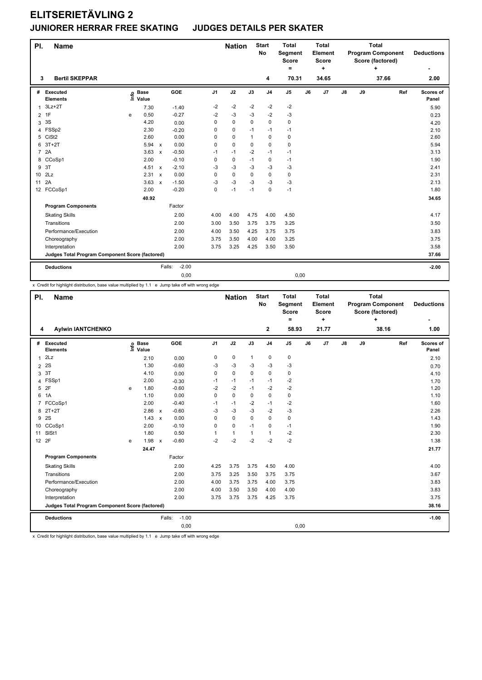# **ELITSERIETÄVLING 2**

### **JUNIORER HERRAR FREE SKATING JUDGES DETAILS PER SKATER**

| PI.            | <b>Name</b>                                     |   |                                  |                                      |                | <b>Nation</b> |          | <b>Start</b><br><b>No</b> | <b>Total</b><br>Segment<br><b>Score</b><br>Ξ. |    | <b>Total</b><br>Element<br><b>Score</b><br>÷ |    | <b>Total</b><br><b>Program Component</b><br>Score (factored) |       |     | <b>Deductions</b>  |
|----------------|-------------------------------------------------|---|----------------------------------|--------------------------------------|----------------|---------------|----------|---------------------------|-----------------------------------------------|----|----------------------------------------------|----|--------------------------------------------------------------|-------|-----|--------------------|
| 3              | <b>Bertil SKEPPAR</b>                           |   |                                  |                                      |                |               |          | 4                         | 70.31                                         |    | 34.65                                        |    |                                                              | 37.66 |     | 2.00               |
| #              | Executed<br><b>Elements</b>                     |   | <b>Base</b><br>e Base<br>⊑ Value | GOE                                  | J <sub>1</sub> | J2            | J3       | J <sub>4</sub>            | J5                                            | J6 | J7                                           | J8 | J9                                                           |       | Ref | Scores of<br>Panel |
| 1              | $3Lz + 2T$                                      |   | 7.30                             | $-1.40$                              | $-2$           | $-2$          | $-2$     | $-2$                      | $-2$                                          |    |                                              |    |                                                              |       |     | 5.90               |
| $\overline{2}$ | 1F                                              | e | 0.50                             | $-0.27$                              | $-2$           | $-3$          | $-3$     | $-2$                      | $-3$                                          |    |                                              |    |                                                              |       |     | 0.23               |
| 3              | 3S                                              |   | 4.20                             | 0.00                                 | 0              | $\mathbf 0$   | 0        | $\mathbf 0$               | 0                                             |    |                                              |    |                                                              |       |     | 4.20               |
| 4              | FSSp2                                           |   | 2.30                             | $-0.20$                              | 0              | 0             | $-1$     | $-1$                      | $-1$                                          |    |                                              |    |                                                              |       |     | 2.10               |
| 5              | CiSt <sub>2</sub>                               |   | 2.60                             | 0.00                                 | 0              | 0             | 1        | $\mathbf 0$               | 0                                             |    |                                              |    |                                                              |       |     | 2.60               |
| 6              | $3T+2T$                                         |   | 5.94                             | 0.00<br>$\mathsf{x}$                 | 0              | 0             | 0        | 0                         | 0                                             |    |                                              |    |                                                              |       |     | 5.94               |
| $\overline{7}$ | 2A                                              |   | 3.63                             | $-0.50$<br>$\mathsf{x}$              | -1             | $-1$          | $-2$     | $-1$                      | $-1$                                          |    |                                              |    |                                                              |       |     | 3.13               |
| 8              | CCoSp1                                          |   | 2.00                             | $-0.10$                              | 0              | 0             | $-1$     | 0                         | $-1$                                          |    |                                              |    |                                                              |       |     | 1.90               |
| 9              | 3T                                              |   | 4.51                             | $-2.10$<br>$\boldsymbol{\mathsf{x}}$ | -3             | $-3$          | $-3$     | $-3$                      | $-3$                                          |    |                                              |    |                                                              |       |     | 2.41               |
| 10             | 2Lz                                             |   | 2.31                             | 0.00<br>$\mathsf{x}$                 | 0              | $\mathbf 0$   | $\Omega$ | $\mathbf 0$               | 0                                             |    |                                              |    |                                                              |       |     | 2.31               |
| 11             | 2A                                              |   | 3.63                             | $-1.50$<br>$\mathsf{x}$              | $-3$           | $-3$          | $-3$     | $-3$                      | $-3$                                          |    |                                              |    |                                                              |       |     | 2.13               |
|                | 12 FCCoSp1                                      |   | 2.00                             | $-0.20$                              | 0              | $-1$          | $-1$     | 0                         | $-1$                                          |    |                                              |    |                                                              |       |     | 1.80               |
|                |                                                 |   | 40.92                            |                                      |                |               |          |                           |                                               |    |                                              |    |                                                              |       |     | 34.65              |
|                | <b>Program Components</b>                       |   |                                  | Factor                               |                |               |          |                           |                                               |    |                                              |    |                                                              |       |     |                    |
|                | <b>Skating Skills</b>                           |   |                                  | 2.00                                 | 4.00           | 4.00          | 4.75     | 4.00                      | 4.50                                          |    |                                              |    |                                                              |       |     | 4.17               |
|                | Transitions                                     |   |                                  | 2.00                                 | 3.00           | 3.50          | 3.75     | 3.75                      | 3.25                                          |    |                                              |    |                                                              |       |     | 3.50               |
|                | Performance/Execution                           |   |                                  | 2.00                                 | 4.00           | 3.50          | 4.25     | 3.75                      | 3.75                                          |    |                                              |    |                                                              |       |     | 3.83               |
|                | Choreography                                    |   |                                  | 2.00                                 | 3.75           | 3.50          | 4.00     | 4.00                      | 3.25                                          |    |                                              |    |                                                              |       |     | 3.75               |
|                | Interpretation                                  |   |                                  | 2.00                                 | 3.75           | 3.25          | 4.25     | 3.50                      | 3.50                                          |    |                                              |    |                                                              |       |     | 3.58               |
|                | Judges Total Program Component Score (factored) |   |                                  |                                      |                |               |          |                           |                                               |    |                                              |    |                                                              |       |     | 37.66              |
|                | <b>Deductions</b>                               |   |                                  | Falls:                               | $-2.00$        |               |          |                           |                                               |    |                                              |    |                                                              |       |     | $-2.00$            |
|                |                                                 |   |                                  |                                      | 0,00           |               |          |                           | 0,00                                          |    |                                              |    |                                                              |       |     |                    |

x Credit for highlight distribution, base value multiplied by 1.1 e Jump take off with wrong edge

| PI.            | Name                                            |   |                            |                         |                |              | <b>Start</b><br><b>Nation</b><br>No |                | <b>Total</b><br>Segment<br><b>Score</b><br>Ξ. |    | <b>Total</b><br><b>Element</b><br><b>Score</b><br>÷ | <b>Total</b><br><b>Program Component</b><br>Score (factored)<br>÷ |    |       | <b>Deductions</b> |                    |
|----------------|-------------------------------------------------|---|----------------------------|-------------------------|----------------|--------------|-------------------------------------|----------------|-----------------------------------------------|----|-----------------------------------------------------|-------------------------------------------------------------------|----|-------|-------------------|--------------------|
| 4              | <b>Aylwin IANTCHENKO</b>                        |   |                            |                         |                |              |                                     | $\mathbf 2$    | 58.93                                         |    | 21.77                                               |                                                                   |    | 38.16 |                   | 1.00               |
| #              | Executed<br><b>Elements</b>                     |   | e Base<br>E Value<br>Value | GOE                     | J <sub>1</sub> | J2           | J3                                  | J <sub>4</sub> | J <sub>5</sub>                                | J6 | J7                                                  | $\mathsf{J}8$                                                     | J9 |       | Ref               | Scores of<br>Panel |
| $\mathbf{1}$   | 2Lz                                             |   | 2.10                       | 0.00                    | 0              | $\pmb{0}$    | $\mathbf{1}$                        | $\pmb{0}$      | $\pmb{0}$                                     |    |                                                     |                                                                   |    |       |                   | 2.10               |
| $\overline{2}$ | <b>2S</b>                                       |   | 1.30                       | $-0.60$                 | $-3$           | $-3$         | $-3$                                | $-3$           | $-3$                                          |    |                                                     |                                                                   |    |       |                   | 0.70               |
| 3              | 3T                                              |   | 4.10                       | 0.00                    | 0              | $\mathbf 0$  | $\Omega$                            | $\mathbf 0$    | $\mathbf 0$                                   |    |                                                     |                                                                   |    |       |                   | 4.10               |
| 4              | FSSp1                                           |   | 2.00                       | $-0.30$                 | $-1$           | $-1$         | $-1$                                | $-1$           | $-2$                                          |    |                                                     |                                                                   |    |       |                   | 1.70               |
| 5              | 2F                                              | e | 1.80                       | $-0.60$                 | $-2$           | $-2$         | $-1$                                | $-2$           | $-2$                                          |    |                                                     |                                                                   |    |       |                   | 1.20               |
| 6              | 1A                                              |   | 1.10                       | 0.00                    | 0              | $\mathbf 0$  | 0                                   | 0              | $\mathbf 0$                                   |    |                                                     |                                                                   |    |       |                   | 1.10               |
| $\overline{7}$ | FCCoSp1                                         |   | 2.00                       | $-0.40$                 | $-1$           | $-1$         | $-2$                                | $-1$           | $-2$                                          |    |                                                     |                                                                   |    |       |                   | 1.60               |
| 8              | $2T+2T$                                         |   | 2.86                       | $-0.60$<br>$\mathsf{x}$ | $-3$           | $-3$         | -3                                  | $-2$           | $-3$                                          |    |                                                     |                                                                   |    |       |                   | 2.26               |
| 9              | 2S                                              |   | $1.43 \times$              | 0.00                    | 0              | $\mathbf 0$  | $\Omega$                            | 0              | $\pmb{0}$                                     |    |                                                     |                                                                   |    |       |                   | 1.43               |
| 10             | CCoSp1                                          |   | 2.00                       | $-0.10$                 | 0              | $\mathbf 0$  | $-1$                                | 0              | $-1$                                          |    |                                                     |                                                                   |    |       |                   | 1.90               |
| 11             | SISt1                                           |   | 1.80                       | 0.50                    |                | $\mathbf{1}$ | $\mathbf{1}$                        | $\mathbf{1}$   | $-2$                                          |    |                                                     |                                                                   |    |       |                   | 2.30               |
| 12 2F          |                                                 | e | 1.98                       | $-0.60$<br>$\mathsf{x}$ | $-2$           | $-2$         | $-2$                                | $-2$           | $-2$                                          |    |                                                     |                                                                   |    |       |                   | 1.38               |
|                |                                                 |   | 24.47                      |                         |                |              |                                     |                |                                               |    |                                                     |                                                                   |    |       |                   | 21.77              |
|                | <b>Program Components</b>                       |   |                            | Factor                  |                |              |                                     |                |                                               |    |                                                     |                                                                   |    |       |                   |                    |
|                | <b>Skating Skills</b>                           |   |                            | 2.00                    | 4.25           | 3.75         | 3.75                                | 4.50           | 4.00                                          |    |                                                     |                                                                   |    |       |                   | 4.00               |
|                | Transitions                                     |   |                            | 2.00                    | 3.75           | 3.25         | 3.50                                | 3.75           | 3.75                                          |    |                                                     |                                                                   |    |       |                   | 3.67               |
|                | Performance/Execution                           |   |                            | 2.00                    | 4.00           | 3.75         | 3.75                                | 4.00           | 3.75                                          |    |                                                     |                                                                   |    |       |                   | 3.83               |
|                | Choreography                                    |   |                            | 2.00                    | 4.00           | 3.50         | 3.50                                | 4.00           | 4.00                                          |    |                                                     |                                                                   |    |       |                   | 3.83               |
|                | Interpretation                                  |   |                            | 2.00                    | 3.75           | 3.75         | 3.75                                | 4.25           | 3.75                                          |    |                                                     |                                                                   |    |       |                   | 3.75               |
|                | Judges Total Program Component Score (factored) |   |                            |                         |                |              |                                     |                |                                               |    |                                                     | 38.16                                                             |    |       |                   |                    |
|                | <b>Deductions</b>                               |   |                            | Falls:                  | $-1.00$        |              |                                     |                |                                               |    |                                                     |                                                                   |    |       |                   | $-1.00$            |
|                |                                                 |   |                            |                         | 0,00           |              |                                     |                | 0,00                                          |    |                                                     |                                                                   |    |       |                   |                    |

x Credit for highlight distribution, base value multiplied by 1.1 e Jump take off with wrong edge